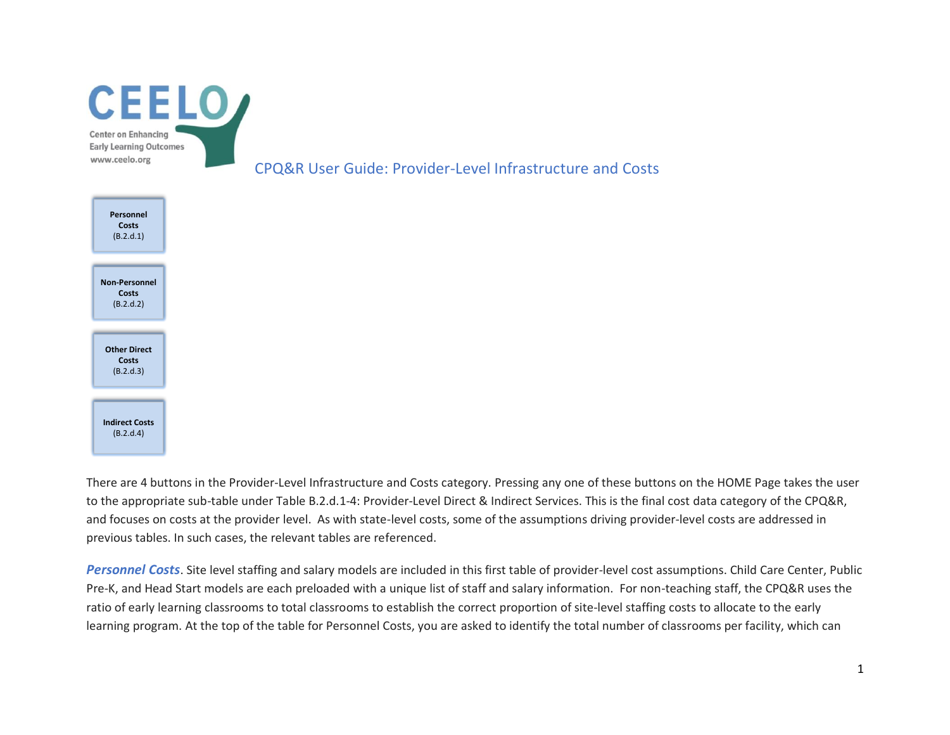

There are 4 buttons in the Provider-Level Infrastructure and Costs category. Pressing any one of these buttons on the HOME Page takes the user to the appropriate sub-table under Table B.2.d.1-4: Provider-Level Direct & Indirect Services. This is the final cost data category of the CPQ&R, and focuses on costs at the provider level. As with state-level costs, some of the assumptions driving provider-level costs are addressed in previous tables. In such cases, the relevant tables are referenced.

*Personnel Costs*. Site level staffing and salary models are included in this first table of provider-level cost assumptions. Child Care Center, Public Pre-K, and Head Start models are each preloaded with a unique list of staff and salary information. For non-teaching staff, the CPQ&R uses the ratio of early learning classrooms to total classrooms to establish the correct proportion of site-level staffing costs to allocate to the early learning program. At the top of the table for Personnel Costs, you are asked to identify the total number of classrooms per facility, which can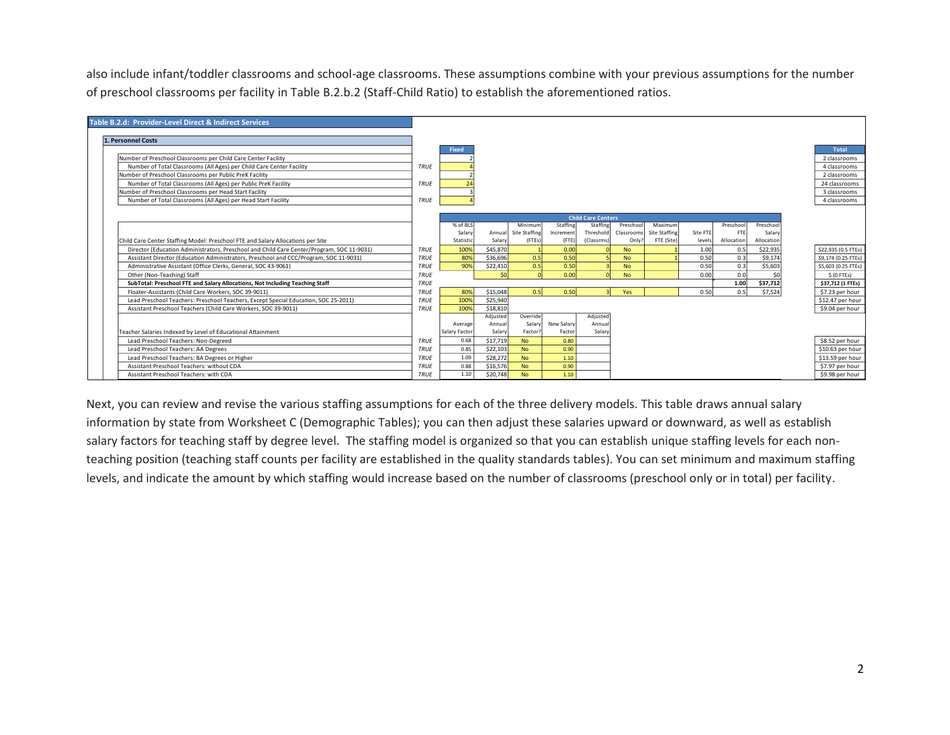also include infant/toddler classrooms and school-age classrooms. These assumptions combine with your previous assumptions for the number of preschool classrooms per facility in Table B.2.b.2 (Staff-Child Ratio) to establish the aforementioned ratios.

| Table B.2.d: Provider-Level Direct & Indirect Services                                    |             |                |          |               |            |                           |            |               |          |            |            |                     |
|-------------------------------------------------------------------------------------------|-------------|----------------|----------|---------------|------------|---------------------------|------------|---------------|----------|------------|------------|---------------------|
|                                                                                           |             |                |          |               |            |                           |            |               |          |            |            |                     |
| 1. Personnel Costs                                                                        |             |                |          |               |            |                           |            |               |          |            |            |                     |
|                                                                                           |             | Fixed          |          |               |            |                           |            |               |          |            |            | <b>Total</b>        |
| Number of Preschool Classrooms per Child Care Center Facility                             |             |                |          |               |            |                           |            |               |          |            |            | 2 classrooms        |
| Number of Total Classrooms (All Ages) per Child Care Center Facility                      | TRUE        |                |          |               |            |                           |            |               |          |            |            | 4 classrooms        |
| Number of Preschool Classrooms per Public PreK Facility                                   |             |                |          |               |            |                           |            |               |          |            |            | 2 classrooms        |
| Number of Total Classrooms (All Ages) per Public PreK Facility                            | TRUE        | $\overline{2}$ |          |               |            |                           |            |               |          |            |            | 24 classrooms       |
| Number of Preschool Classrooms per Head Start Facility                                    |             |                |          |               |            |                           |            |               |          |            |            | 3 classrooms        |
| Number of Total Classrooms (All Ages) per Head Start Facility                             | TRUE        |                |          |               |            |                           |            |               |          |            |            | 4 classrooms        |
|                                                                                           |             |                |          |               |            |                           |            |               |          |            |            |                     |
|                                                                                           |             |                |          |               |            | <b>Child Care Centers</b> |            |               |          |            |            |                     |
|                                                                                           |             | % of BLS       |          | Minimum       | Staffing   | Staffing                  | Preschool  | Maximum       |          | Preschool  | Preschool  |                     |
|                                                                                           |             | Salary         | Annual   | Site Staffing | Increment  | Threshold                 | Classrooms | Site Staffing | Site FTE | FTE        | Salary     |                     |
| Child Care Center Staffing Model: Preschool FTE and Salary Allocations per Site           |             | Statistic      | Salary   | (FTEs)        | $($ FTE)   | (Classrms)                | Only?      | FTE (Site)    | levels   | Allocation | Allocation |                     |
| Director (Education Administrators, Preschool and Child Care Center/Program, SOC 11-9031) | <b>TRUE</b> | 1009           | \$45,870 |               | 0.00       |                           | <b>No</b>  |               | 1.00     | 0.5        | \$22,935   | \$22,935 (0.5 FTEs) |
| Assistant Director (Education Administrators, Preschool and CCC/Program, SOC 11-9031)     | TRUE        | 80%            | \$36,696 | 0.5           | 0.50       |                           | <b>No</b>  |               | 0.50     | 0.3        | \$9,174    | \$9.174 (0.25 FTEs) |
| Administrative Assistant (Office Clerks, General, SOC 43-9061)                            | TRUE        | 90%            | \$22,410 | 0.5           | 0.50       |                           | <b>No</b>  |               | 0.50     | 0.3        | \$5,603    | \$5,603 (0.25 FTEs) |
| Other (Non-Teaching) Staff                                                                | <b>TRUE</b> |                | sol      |               | 0.00       |                           | <b>No</b>  |               | 0.00     | 0.0        | \$0        | S (O FTES)          |
| SubTotal: Preschool FTE and Salary Allocations, Not Including Teaching Staff              | <b>TRUE</b> |                |          |               |            |                           |            |               |          | 1.00       | \$37,712   | \$37.712 (1 FTEs)   |
| Floater-Assistants (Child Care Workers, SOC 39-9011)                                      | TRUE        | 80%            | \$15,048 | 0.5           | 0.50       |                           | Yes        |               | 0.50     | 0.5        | \$7,524    | \$7.23 per hour     |
| Lead Preschool Teachers: Preschool Teachers, Except Special Education, SOC 25-2011)       | <b>TRUE</b> | 100%           | \$25,940 |               |            |                           |            |               |          |            |            | \$12.47 per hour    |
| Assistant Preschool Teachers (Child Care Workers, SOC 39-9011)                            | <b>TRUE</b> | 100%           | \$18,810 |               |            |                           |            |               |          |            |            | \$9.04 per hour     |
|                                                                                           |             |                | Adjusted | Override      |            | Adjusted                  |            |               |          |            |            |                     |
|                                                                                           |             | Average        | Annual   | Salary        | New Salary | Annual                    |            |               |          |            |            |                     |
| Teacher Salaries Indexed by Level of Educational Attainment                               |             | Salary Factor  | Salary   | Factor        | Factor     | Salary                    |            |               |          |            |            |                     |
| Lead Preschool Teachers: Non-Degreed                                                      | TRUE        | 0.68           | \$17,719 | <b>No</b>     | 0.80       |                           |            |               |          |            |            | \$8.52 per hour     |
| Lead Preschool Teachers: AA Degrees                                                       | TRUE        | 0.85           | \$22,103 | <b>No</b>     | 0.90       |                           |            |               |          |            |            | \$10.63 per hour    |
| Lead Preschool Teachers: BA Degrees or Higher                                             | TRUE        | 1.09           | \$28,272 | <b>No</b>     | 1.10       |                           |            |               |          |            |            | \$13.59 per hour    |
| Assistant Preschool Teachers: without CDA                                                 | TRUE        | 0.88           | \$16,576 | <b>No</b>     | 0.90       |                           |            |               |          |            |            | \$7.97 per hour     |
| Assistant Preschool Teachers: with CDA                                                    | TRUE        | 1.10           | \$20,748 | <b>No</b>     | 1.10       |                           |            |               |          |            |            | \$9.98 per hour     |

Next, you can review and revise the various staffing assumptions for each of the three delivery models. This table draws annual salary information by state from Worksheet C (Demographic Tables); you can then adjust these salaries upward or downward, as well as establish salary factors for teaching staff by degree level. The staffing model is organized so that you can establish unique staffing levels for each nonteaching position (teaching staff counts per facility are established in the quality standards tables). You can set minimum and maximum staffing levels, and indicate the amount by which staffing would increase based on the number of classrooms (preschool only or in total) per facility.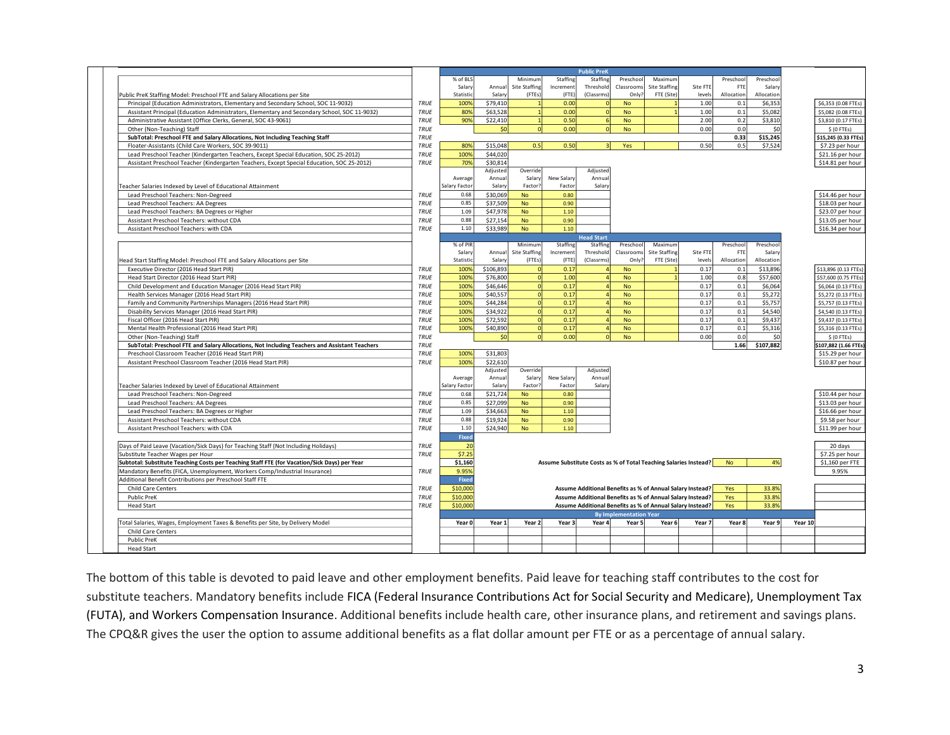|                                                                                               |             | <b>Public PreK</b> |                      |                      |                                                                  |                   |                               |                                                           |          |            |            |         |                      |
|-----------------------------------------------------------------------------------------------|-------------|--------------------|----------------------|----------------------|------------------------------------------------------------------|-------------------|-------------------------------|-----------------------------------------------------------|----------|------------|------------|---------|----------------------|
|                                                                                               |             | % of BLS           |                      | Minimum              | Staffing                                                         | Staffing          | Preschoo                      | Maximum                                                   |          | Preschoo   | Preschoo   |         |                      |
|                                                                                               |             | Salary             | Annua                | <b>Site Staffing</b> | Incremen                                                         | Threshold         | Classroom                     | <b>Site Staffing</b>                                      | Site FTE | FTI        | Salan      |         |                      |
| Public PreK Staffing Model: Preschool FTE and Salary Allocations per Site                     |             | Statistic          | Salan                | (FTEs)               | (FTE)                                                            | (Classrms)        | Only                          | FTE (Site)                                                | levels   | Allocation | Allocation |         |                      |
| Principal (Education Administrators, Elementary and Secondary School, SOC 11-9032)            | TRUE        | 100%               | \$79,410             |                      | 0.00                                                             |                   | <b>No</b>                     |                                                           | 1.00     | 0.1        | \$6,353    |         | \$6,353 (0.08 FTEs)  |
| Assistant Principal (Education Administrators, Elementary and Secondary School, SOC 11-9032)  | TRUE        | 80%                | \$63,528             |                      | 0.00                                                             | $\sqrt{ }$        | <b>No</b>                     | 1                                                         | 1.00     | 0.1        | \$5,082    |         | \$5,082 (0.08 FTEs)  |
| Administrative Assistant (Office Clerks, General, SOC 43-9061)                                | TRUE        | 90%                | \$22,410             |                      | 0.50                                                             |                   | <b>No</b>                     |                                                           | 2.00     | 0.2        | \$3,810    |         | \$3,810 (0.17 FTEs)  |
| Other (Non-Teaching) Staff                                                                    | TRUE        |                    | \$0                  | $\Omega$             | 0.00                                                             | $\sqrt{ }$        | <b>No</b>                     |                                                           | 0.00     | 0.0        | \$0        |         | $$$ (0 FTEs)         |
| SubTotal: Preschool FTE and Salary Allocations, Not Including Teaching Staff                  | TRUE        |                    |                      |                      |                                                                  |                   |                               |                                                           |          | 0.33       | \$15,245   |         | \$15,245 (0.33 FTEs) |
| Floater-Assistants (Child Care Workers, SOC 39-9011)                                          | TRUE        | 80%                | \$15,048             | 0.5                  | 0.50                                                             | 3                 | Yes                           |                                                           | 0.50     | 0.5        | \$7,524    |         | \$7.23 per hour      |
| Lead Preschool Teacher (Kindergarten Teachers, Except Special Education, SOC 25-2012)         | <b>TRUE</b> | 100%               | \$44,020             |                      |                                                                  |                   |                               |                                                           |          |            |            |         | \$21.16 per hour     |
|                                                                                               |             | 70%                |                      |                      |                                                                  |                   |                               |                                                           |          |            |            |         | \$14.81 per hour     |
| Assistant Preschool Teacher (Kindergarten Teachers, Except Special Education, SOC 25-2012)    | TRUE        |                    | \$30,814<br>Adjustec | Override             |                                                                  | Adjusted          |                               |                                                           |          |            |            |         |                      |
|                                                                                               |             | Average            | Annua                | Salary               | New Salary                                                       | Annual            |                               |                                                           |          |            |            |         |                      |
|                                                                                               |             | Salary Factor      | Salan                | Factor               | Factor                                                           | Salary            |                               |                                                           |          |            |            |         |                      |
| Teacher Salaries Indexed by Level of Educational Attainment                                   |             |                    |                      |                      |                                                                  |                   |                               |                                                           |          |            |            |         |                      |
| Lead Preschool Teachers: Non-Degreed                                                          | TRUE        | 0.68               | \$30,069             | <b>No</b>            | 0.80                                                             |                   |                               |                                                           |          |            |            |         | \$14.46 per hour     |
| Lead Preschool Teachers: AA Degrees                                                           | TRUE        | 0.85               | \$37,509             | <b>No</b>            | 0.90                                                             |                   |                               |                                                           |          |            |            |         | \$18.03 per hour     |
| Lead Preschool Teachers: BA Degrees or Higher                                                 | TRUE        | 1.09               | \$47,978             | <b>No</b>            | 1.10                                                             |                   |                               |                                                           |          |            |            |         | \$23.07 per hour     |
| Assistant Preschool Teachers: without CDA                                                     | TRUE        | 0.88               | \$27,154             | <b>No</b>            | 0.90                                                             |                   |                               |                                                           |          |            |            |         | \$13.05 per hour     |
| Assistant Preschool Teachers: with CDA                                                        | TRUE        | 1.10               | \$33,989             | <b>No</b>            | 1.10                                                             |                   |                               |                                                           |          |            |            |         | \$16.34 per hour     |
|                                                                                               |             |                    |                      |                      |                                                                  | <b>Head Start</b> |                               |                                                           |          |            |            |         |                      |
|                                                                                               |             | % of PIR           |                      | Minimum              | Staffing                                                         | Staffing          | Preschoo                      | Maximum                                                   |          | Preschoo   | Preschoo   |         |                      |
|                                                                                               |             | Salan              | Annua                | Site Staffing        | Incremen                                                         | Threshold         | Classroom                     | <b>Site Staffing</b>                                      | Site FTE | FTE        | Salar      |         |                      |
| Head Start Staffing Model: Preschool FTE and Salary Allocations per Site                      |             | Statistic          | Salan                | (FTEs)               | (FTE)                                                            | (Classrms)        | Only                          | FTE (Site)                                                | levels   | Allocation | Allocation |         |                      |
| Executive Director (2016 Head Start PIR)                                                      | <b>TRUE</b> | 100%               | \$106,893            |                      | 0.17                                                             |                   | <b>No</b>                     |                                                           | 0.17     | 0.1        | \$13,896   |         | \$13,896 (0.13 FTEs) |
| Head Start Director (2016 Head Start PIR)                                                     | TRUE        | 100%               | \$76,800             | $\Omega$             | 1.00                                                             |                   | <b>No</b>                     |                                                           | 1.00     | 0.8        | \$57,600   |         | \$57,600 (0.75 FTEs  |
| Child Development and Education Manager (2016 Head Start PIR)                                 | TRUE        | 100%               | \$46,646             | $\Omega$             | 0.17                                                             |                   | <b>No</b>                     |                                                           | 0.17     | 0.1        | \$6,064    |         | \$6,064 (0.13 FTEs)  |
| Health Services Manager (2016 Head Start PIR)                                                 | TRUE        | 100%               | \$40,557             | $\circ$              | 0.17                                                             |                   | <b>No</b>                     |                                                           | 0.17     | 0.1        | \$5,272    |         | \$5,272 (0.13 FTEs)  |
| Family and Community Partnerships Managers (2016 Head Start PIR)                              | <b>TRUE</b> | 100%               | \$44,284             |                      | 0.17                                                             |                   | <b>No</b>                     |                                                           | 0.17     | 0.1        | \$5,757    |         | \$5,757 (0.13 FTEs)  |
| Disability Services Manager (2016 Head Start PIR)                                             | TRUE        | 100%               | \$34,922             | $\Omega$             | 0.17                                                             |                   | <b>No</b>                     |                                                           | 0.17     | 0.1        | \$4,540    |         | \$4,540 (0.13 FTEs)  |
|                                                                                               | TRUE        | 100%               | \$72,592             | $\circ$              | 0.17                                                             | Z                 |                               |                                                           | 0.17     | 0.1        | \$9,437    |         |                      |
| Fiscal Officer (2016 Head Start PIR)                                                          |             |                    |                      |                      |                                                                  |                   | <b>No</b>                     |                                                           |          |            |            |         | \$9,437 (0.13 FTEs)  |
| Mental Health Professional (2016 Head Start PIR)                                              | TRUE        | 100%               | \$40,890             |                      | 0.17                                                             |                   | <b>No</b>                     |                                                           | 0.17     | 0.1        | \$5,316    |         | \$5,316 (0.13 FTEs)  |
| Other (Non-Teaching) Staff                                                                    | TRUE        |                    | \$C                  | $\Omega$             | 0.00                                                             | $\Omega$          | <b>No</b>                     |                                                           | 0.00     | 0.0        | \$0        |         | $$$ (0 FTEs)         |
| SubTotal: Preschool FTE and Salary Allocations, Not Including Teachers and Assistant Teachers | TRUE        |                    |                      |                      |                                                                  |                   |                               |                                                           |          | 1.66       | \$107,882  |         | \$107,882 (1.66 FTEs |
| Preschool Classroom Teacher (2016 Head Start PIR)                                             | TRUE        | 100%               | \$31,803             |                      |                                                                  |                   |                               |                                                           |          |            |            |         | \$15.29 per hour     |
| Assistant Preschool Classroom Teacher (2016 Head Start PIR)                                   | TRUE        | 100%               | \$22,610             |                      |                                                                  |                   |                               |                                                           |          |            |            |         | \$10.87 per hour     |
|                                                                                               |             |                    | Adjusted             | Override             |                                                                  | Adjusted          |                               |                                                           |          |            |            |         |                      |
|                                                                                               |             | Average            | Annua                | Salary               | New Salary                                                       | Annual            |                               |                                                           |          |            |            |         |                      |
| Teacher Salaries Indexed by Level of Educational Attainment                                   |             | Salary Factor      | Salan                | Factor               | Factor                                                           | Salary            |                               |                                                           |          |            |            |         |                      |
| Lead Preschool Teachers: Non-Degreed                                                          | TRUE        | 0.68               | \$21,724             | <b>No</b>            | 0.80                                                             |                   |                               |                                                           |          |            |            |         | \$10.44 per hour     |
| Lead Preschool Teachers: AA Degrees                                                           | TRUE        | 0.85               | \$27,099             | <b>No</b>            | 0.90                                                             |                   |                               |                                                           |          |            |            |         | \$13.03 per hour     |
| Lead Preschool Teachers: BA Degrees or Higher                                                 | TRUE        | 1.09               | \$34,663             | <b>No</b>            | 1.10                                                             |                   |                               |                                                           |          |            |            |         | \$16.66 per hour     |
| Assistant Preschool Teachers: without CDA                                                     | TRUE        | 0.88               | \$19.924             | <b>No</b>            | 0.90                                                             |                   |                               |                                                           |          |            |            |         | \$9.58 per hour      |
| Assistant Preschool Teachers: with CDA                                                        | TRUE        | 1.10               | \$24,940             | <b>No</b>            | 1.10                                                             |                   |                               |                                                           |          |            |            |         | \$11.99 per hour     |
|                                                                                               |             | Fixed              |                      |                      |                                                                  |                   |                               |                                                           |          |            |            |         |                      |
| Days of Paid Leave (Vacation/Sick Days) for Teaching Staff (Not Including Holidays)           | TRUE        | 20                 |                      |                      |                                                                  |                   |                               |                                                           |          |            |            |         | 20 days              |
|                                                                                               |             |                    |                      |                      |                                                                  |                   |                               |                                                           |          |            |            |         |                      |
| Substitute Teacher Wages per Hour                                                             | TRUE        | \$7.25             |                      |                      |                                                                  |                   |                               |                                                           |          |            |            |         | \$7.25 per hour      |
| Subtotal: Substitute Teaching Costs per Teaching Staff FTE (for Vacation/Sick Days) per Year  |             | \$1,160            |                      |                      | Assume Substitute Costs as % of Total Teaching Salaries Instead? |                   |                               |                                                           |          | <b>No</b>  | 4%         |         | \$1,160 per FTE      |
| Mandatory Benefits (FICA, Unemployment, Workers Comp/Industrial Insurance)                    | TRUE        | 9.95%              |                      |                      |                                                                  |                   |                               |                                                           |          |            |            |         | 9.95%                |
| Additional Benefit Contributions per Preschool Staff FTE                                      |             | <b>Fixed</b>       |                      |                      |                                                                  |                   |                               |                                                           |          |            |            |         |                      |
| Child Care Centers                                                                            | TRUE        | \$10,000           |                      |                      |                                                                  |                   |                               | Assume Additional Benefits as % of Annual Salary Instead? |          | Yes        | 33.8%      |         |                      |
| Public PreK                                                                                   | TRUE        | \$10,000           |                      |                      |                                                                  |                   |                               | Assume Additional Benefits as % of Annual Salary Instead? |          | Yes        | 33.8%      |         |                      |
| <b>Head Start</b>                                                                             | TRUE        | \$10,000           |                      |                      |                                                                  |                   |                               | Assume Additional Benefits as % of Annual Salary Instead? |          | Yes        | 33.8%      |         |                      |
|                                                                                               |             |                    |                      |                      |                                                                  |                   | <b>By Implementation Year</b> |                                                           |          |            |            |         |                      |
| Total Salaries, Wages, Employment Taxes & Benefits per Site, by Delivery Model                |             | Year 0             | Year 1               | Year <sub>2</sub>    | Year 3                                                           | Year 4            | Year 5                        | Year 6                                                    | Year 7   | Year 8     | Year 9     | Year 10 |                      |
|                                                                                               |             |                    |                      |                      |                                                                  |                   |                               |                                                           |          |            |            |         |                      |
| Child Care Centers                                                                            |             |                    |                      |                      |                                                                  |                   |                               |                                                           |          |            |            |         |                      |
| <b>Public PreK</b>                                                                            |             |                    |                      |                      |                                                                  |                   |                               |                                                           |          |            |            |         |                      |
| <b>Head Start</b>                                                                             |             |                    |                      |                      |                                                                  |                   |                               |                                                           |          |            |            |         |                      |

The bottom of this table is devoted to paid leave and other employment benefits. Paid leave for teaching staff contributes to the cost for substitute teachers. Mandatory benefits include FICA (Federal Insurance Contributions Act for Social Security and Medicare), Unemployment Tax (FUTA), and Workers Compensation Insurance. Additional benefits include health care, other insurance plans, and retirement and savings plans. The CPQ&R gives the user the option to assume additional benefits as a flat dollar amount per FTE or as a percentage of annual salary.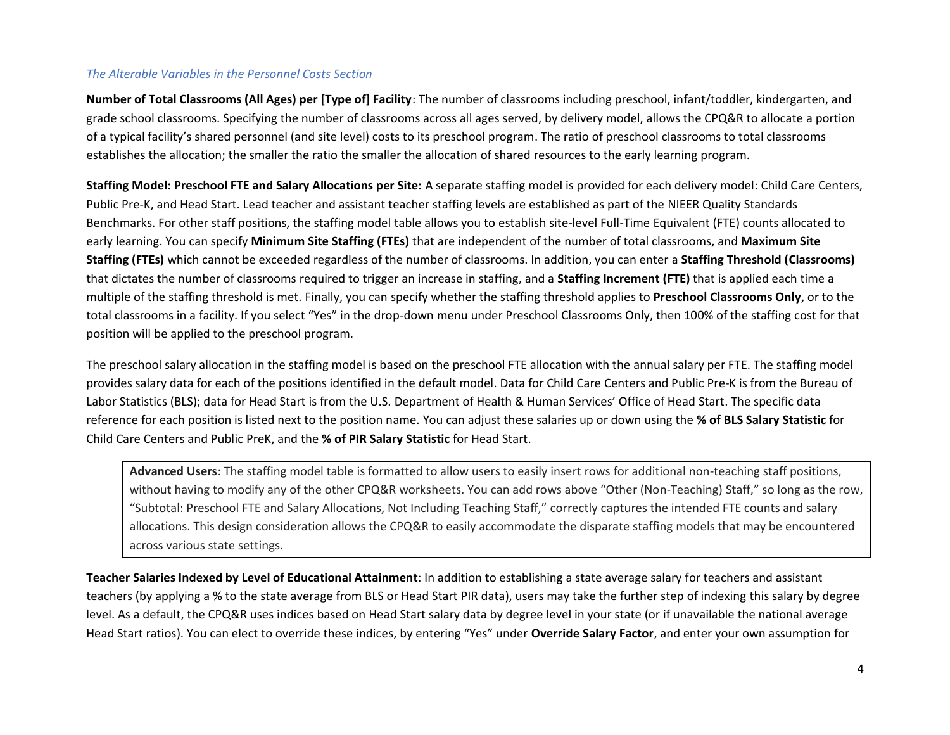# *The Alterable Variables in the Personnel Costs Section*

**Number of Total Classrooms (All Ages) per [Type of] Facility**: The number of classrooms including preschool, infant/toddler, kindergarten, and grade school classrooms. Specifying the number of classrooms across all ages served, by delivery model, allows the CPQ&R to allocate a portion of a typical facility's shared personnel (and site level) costs to its preschool program. The ratio of preschool classrooms to total classrooms establishes the allocation; the smaller the ratio the smaller the allocation of shared resources to the early learning program.

**Staffing Model: Preschool FTE and Salary Allocations per Site:** A separate staffing model is provided for each delivery model: Child Care Centers, Public Pre-K, and Head Start. Lead teacher and assistant teacher staffing levels are established as part of the NIEER Quality Standards Benchmarks. For other staff positions, the staffing model table allows you to establish site-level Full-Time Equivalent (FTE) counts allocated to early learning. You can specify **Minimum Site Staffing (FTEs)** that are independent of the number of total classrooms, and **Maximum Site Staffing (FTEs)** which cannot be exceeded regardless of the number of classrooms. In addition, you can enter a **Staffing Threshold (Classrooms)** that dictates the number of classrooms required to trigger an increase in staffing, and a **Staffing Increment (FTE)** that is applied each time a multiple of the staffing threshold is met. Finally, you can specify whether the staffing threshold applies to **Preschool Classrooms Only**, or to the total classrooms in a facility. If you select "Yes" in the drop-down menu under Preschool Classrooms Only, then 100% of the staffing cost for that position will be applied to the preschool program.

The preschool salary allocation in the staffing model is based on the preschool FTE allocation with the annual salary per FTE. The staffing model provides salary data for each of the positions identified in the default model. Data for Child Care Centers and Public Pre-K is from the Bureau of Labor Statistics (BLS); data for Head Start is from the U.S. Department of Health & Human Services' Office of Head Start. The specific data reference for each position is listed next to the position name. You can adjust these salaries up or down using the **% of BLS Salary Statistic** for Child Care Centers and Public PreK, and the **% of PIR Salary Statistic** for Head Start.

**Advanced Users**: The staffing model table is formatted to allow users to easily insert rows for additional non-teaching staff positions, without having to modify any of the other CPQ&R worksheets. You can add rows above "Other (Non-Teaching) Staff," so long as the row, "Subtotal: Preschool FTE and Salary Allocations, Not Including Teaching Staff," correctly captures the intended FTE counts and salary allocations. This design consideration allows the CPQ&R to easily accommodate the disparate staffing models that may be encountered across various state settings.

**Teacher Salaries Indexed by Level of Educational Attainment**: In addition to establishing a state average salary for teachers and assistant teachers (by applying a % to the state average from BLS or Head Start PIR data), users may take the further step of indexing this salary by degree level. As a default, the CPQ&R uses indices based on Head Start salary data by degree level in your state (or if unavailable the national average Head Start ratios). You can elect to override these indices, by entering "Yes" under **Override Salary Factor**, and enter your own assumption for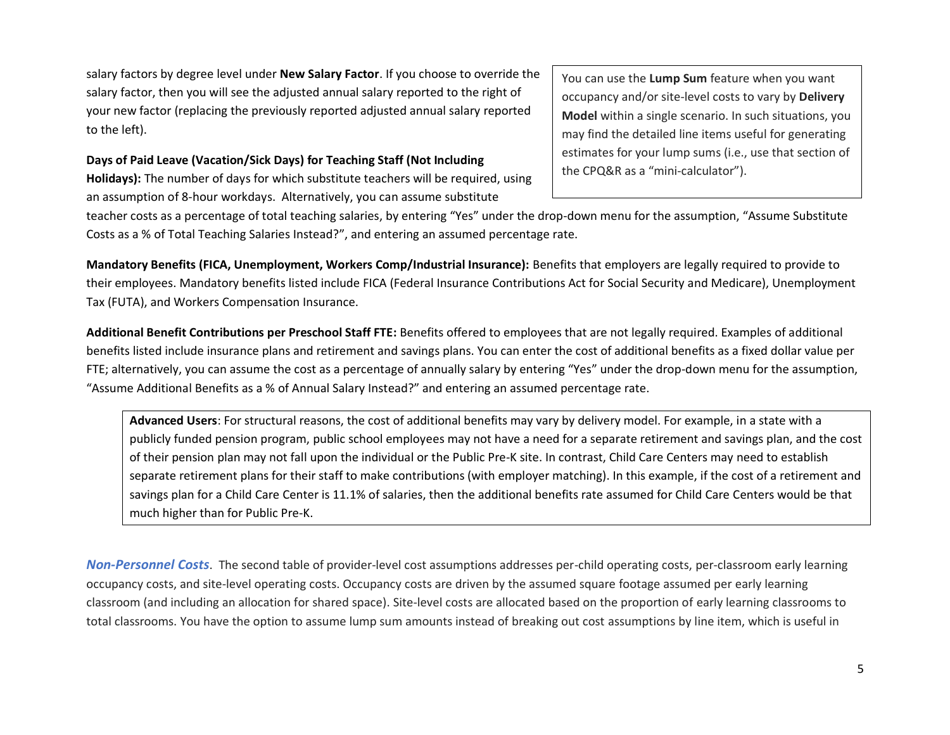salary factors by degree level under **New Salary Factor**. If you choose to override the salary factor, then you will see the adjusted annual salary reported to the right of your new factor (replacing the previously reported adjusted annual salary reported to the left).

## **Days of Paid Leave (Vacation/Sick Days) for Teaching Staff (Not Including**

**Holidays):** The number of days for which substitute teachers will be required, using an assumption of 8-hour workdays. Alternatively, you can assume substitute

You can use the **Lump Sum** feature when you want occupancy and/or site-level costs to vary by **Delivery Model** within a single scenario. In such situations, you may find the detailed line items useful for generating estimates for your lump sums (i.e., use that section of the CPQ&R as a "mini-calculator").

teacher costs as a percentage of total teaching salaries, by entering "Yes" under the drop-down menu for the assumption, "Assume Substitute Costs as a % of Total Teaching Salaries Instead?", and entering an assumed percentage rate.

**Mandatory Benefits (FICA, Unemployment, Workers Comp/Industrial Insurance):** Benefits that employers are legally required to provide to their employees. Mandatory benefits listed include FICA (Federal Insurance Contributions Act for Social Security and Medicare), Unemployment Tax (FUTA), and Workers Compensation Insurance.

**Additional Benefit Contributions per Preschool Staff FTE:** Benefits offered to employees that are not legally required. Examples of additional benefits listed include insurance plans and retirement and savings plans. You can enter the cost of additional benefits as a fixed dollar value per FTE; alternatively, you can assume the cost as a percentage of annually salary by entering "Yes" under the drop-down menu for the assumption, "Assume Additional Benefits as a % of Annual Salary Instead?" and entering an assumed percentage rate.

**Advanced Users**: For structural reasons, the cost of additional benefits may vary by delivery model. For example, in a state with a publicly funded pension program, public school employees may not have a need for a separate retirement and savings plan, and the cost of their pension plan may not fall upon the individual or the Public Pre-K site. In contrast, Child Care Centers may need to establish separate retirement plans for their staff to make contributions (with employer matching). In this example, if the cost of a retirement and savings plan for a Child Care Center is 11.1% of salaries, then the additional benefits rate assumed for Child Care Centers would be that much higher than for Public Pre-K.

*Non-Personnel Costs*. The second table of provider-level cost assumptions addresses per-child operating costs, per-classroom early learning occupancy costs, and site-level operating costs. Occupancy costs are driven by the assumed square footage assumed per early learning classroom (and including an allocation for shared space). Site-level costs are allocated based on the proportion of early learning classrooms to total classrooms. You have the option to assume lump sum amounts instead of breaking out cost assumptions by line item, which is useful in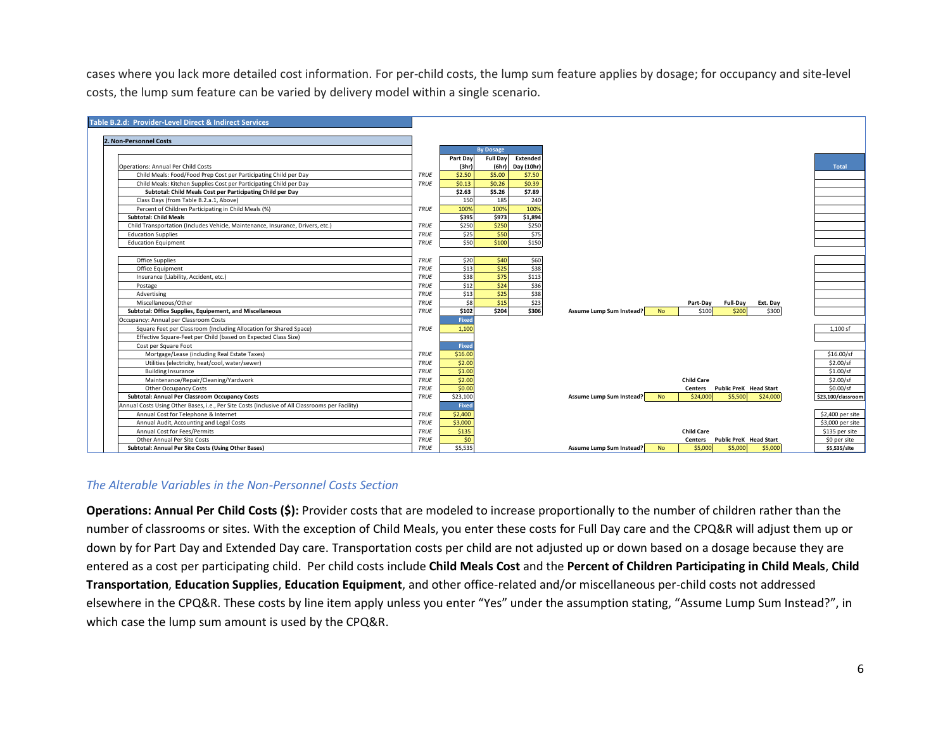cases where you lack more detailed cost information. For per-child costs, the lump sum feature applies by dosage; for occupancy and site-level



#### *The Alterable Variables in the Non-Personnel Costs Section*

**Operations: Annual Per Child Costs (\$):** Provider costs that are modeled to increase proportionally to the number of children rather than the number of classrooms or sites. With the exception of Child Meals, you enter these costs for Full Day care and the CPQ&R will adjust them up or down by for Part Day and Extended Day care. Transportation costs per child are not adjusted up or down based on a dosage because they are entered as a cost per participating child. Per child costs include **Child Meals Cost** and the **Percent of Children Participating in Child Meals**, **Child Transportation**, **Education Supplies**, **Education Equipment**, and other office-related and/or miscellaneous per-child costs not addressed elsewhere in the CPQ&R. These costs by line item apply unless you enter "Yes" under the assumption stating, "Assume Lump Sum Instead?", in which case the lump sum amount is used by the CPQ&R.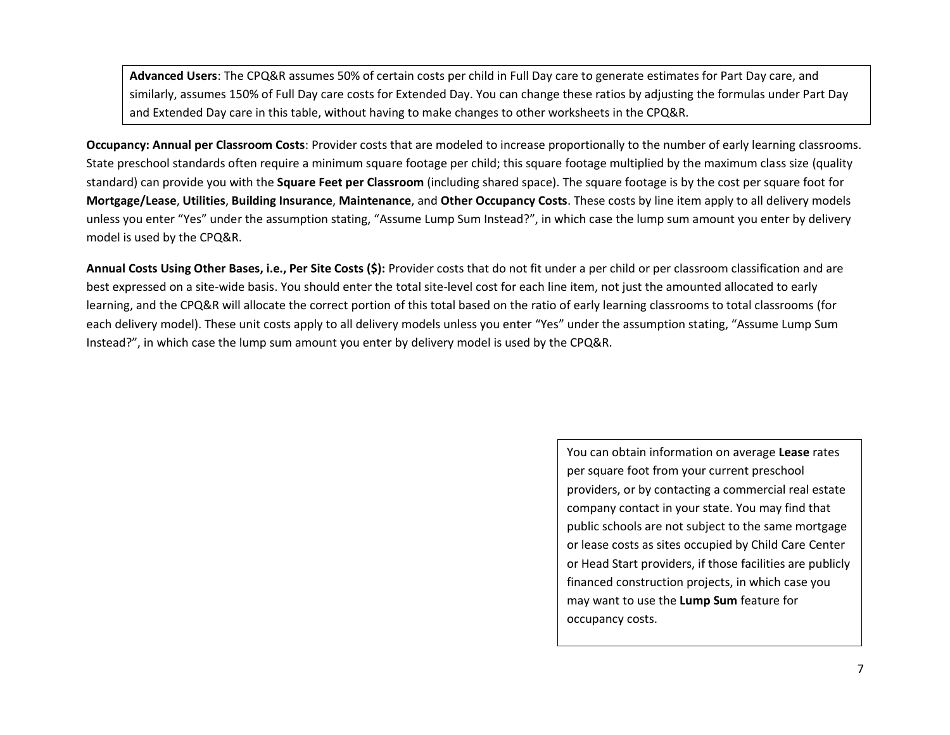**Advanced Users**: The CPQ&R assumes 50% of certain costs per child in Full Day care to generate estimates for Part Day care, and similarly, assumes 150% of Full Day care costs for Extended Day. You can change these ratios by adjusting the formulas under Part Day and Extended Day care in this table, without having to make changes to other worksheets in the CPQ&R.

**Occupancy: Annual per Classroom Costs**: Provider costs that are modeled to increase proportionally to the number of early learning classrooms. State preschool standards often require a minimum square footage per child; this square footage multiplied by the maximum class size (quality standard) can provide you with the **Square Feet per Classroom** (including shared space). The square footage is by the cost per square foot for **Mortgage/Lease**, **Utilities**, **Building Insurance**, **Maintenance**, and **Other Occupancy Costs**. These costs by line item apply to all delivery models unless you enter "Yes" under the assumption stating, "Assume Lump Sum Instead?", in which case the lump sum amount you enter by delivery model is used by the CPQ&R.

**Annual Costs Using Other Bases, i.e., Per Site Costs (\$):** Provider costs that do not fit under a per child or per classroom classification and are best expressed on a site-wide basis. You should enter the total site-level cost for each line item, not just the amounted allocated to early learning, and the CPQ&R will allocate the correct portion of this total based on the ratio of early learning classrooms to total classrooms (for each delivery model). These unit costs apply to all delivery models unless you enter "Yes" under the assumption stating, "Assume Lump Sum Instead?", in which case the lump sum amount you enter by delivery model is used by the CPQ&R.

> You can obtain information on average **Lease** rates per square foot from your current preschool providers, or by contacting a commercial real estate company contact in your state. You may find that public schools are not subject to the same mortgage or lease costs as sites occupied by Child Care Center or Head Start providers, if those facilities are publicly financed construction projects, in which case you may want to use the **Lump Sum** feature for occupancy costs.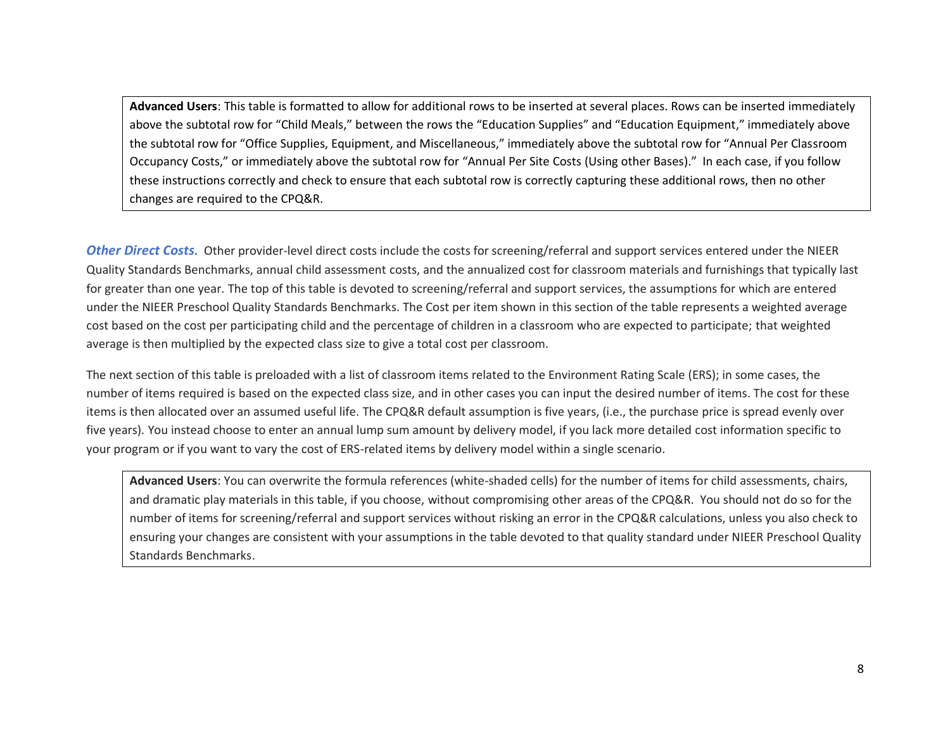**Advanced Users**: This table is formatted to allow for additional rows to be inserted at several places. Rows can be inserted immediately above the subtotal row for "Child Meals," between the rows the "Education Supplies" and "Education Equipment," immediately above the subtotal row for "Office Supplies, Equipment, and Miscellaneous," immediately above the subtotal row for "Annual Per Classroom Occupancy Costs," or immediately above the subtotal row for "Annual Per Site Costs (Using other Bases)." In each case, if you follow these instructions correctly and check to ensure that each subtotal row is correctly capturing these additional rows, then no other changes are required to the CPQ&R.

*Other Direct Costs.* Other provider-level direct costs include the costs for screening/referral and support services entered under the NIEER Quality Standards Benchmarks, annual child assessment costs, and the annualized cost for classroom materials and furnishings that typically last for greater than one year. The top of this table is devoted to screening/referral and support services, the assumptions for which are entered under the NIEER Preschool Quality Standards Benchmarks. The Cost per item shown in this section of the table represents a weighted average cost based on the cost per participating child and the percentage of children in a classroom who are expected to participate; that weighted average is then multiplied by the expected class size to give a total cost per classroom.

The next section of this table is preloaded with a list of classroom items related to the Environment Rating Scale (ERS); in some cases, the number of items required is based on the expected class size, and in other cases you can input the desired number of items. The cost for these items is then allocated over an assumed useful life. The CPQ&R default assumption is five years, (i.e., the purchase price is spread evenly over five years). You instead choose to enter an annual lump sum amount by delivery model, if you lack more detailed cost information specific to your program or if you want to vary the cost of ERS-related items by delivery model within a single scenario.

**Advanced Users**: You can overwrite the formula references (white-shaded cells) for the number of items for child assessments, chairs, and dramatic play materials in this table, if you choose, without compromising other areas of the CPQ&R. You should not do so for the number of items for screening/referral and support services without risking an error in the CPQ&R calculations, unless you also check to ensuring your changes are consistent with your assumptions in the table devoted to that quality standard under NIEER Preschool Quality Standards Benchmarks.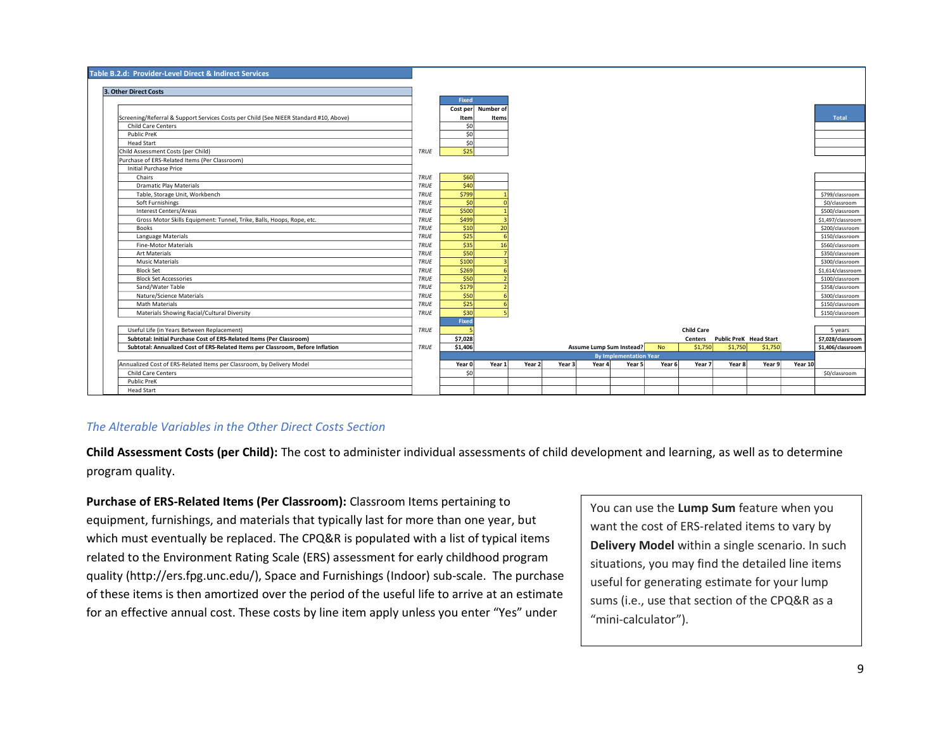

#### *The Alterable Variables in the Other Direct Costs Section*

**Child Assessment Costs (per Child):** The cost to administer individual assessments of child development and learning, as well as to determine program quality.

**Purchase of ERS-Related Items (Per Classroom):** Classroom Items pertaining to equipment, furnishings, and materials that typically last for more than one year, but which must eventually be replaced. The CPQ&R is populated with a list of typical items related to the Environment Rating Scale (ERS) assessment for early childhood program quality (http://ers.fpg.unc.edu/), Space and Furnishings (Indoor) sub-scale. The purchase of these items is then amortized over the period of the useful life to arrive at an estimate for an effective annual cost. These costs by line item apply unless you enter "Yes" under

You can use the **Lump Sum** feature when you want the cost of ERS-related items to vary by **Delivery Model** within a single scenario. In such situations, you may find the detailed line items useful for generating estimate for your lump sums (i.e., use that section of the CPQ&R as a "mini-calculator").